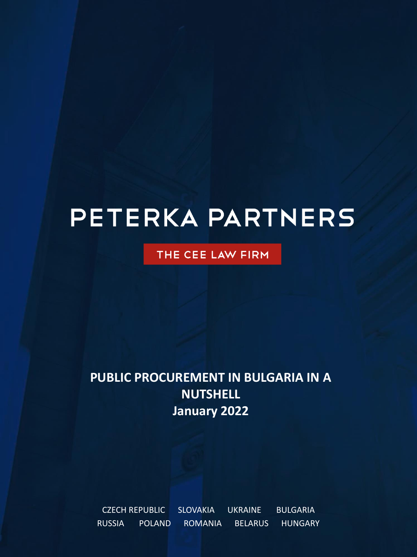# PETERKA PARTNERS

### THE CEE LAW FIRM

# **PUBLIC PROCUREMENT IN BULGARIA IN A NUTSHELL January 2022**

CZECH REPUBLIC SLOVAKIA UKRAINE BULGARIA RUSSIA POLAND ROMANIA BELARUS HUNGARY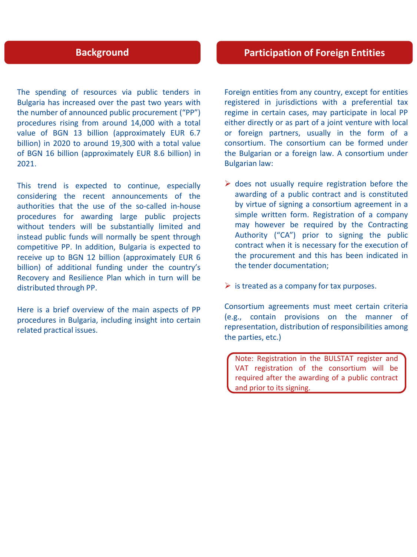The spending of resources via public tenders in Bulgaria has increased over the past two years with the number of announced public procurement ("PP") procedures rising from around 14,000 with a total value of BGN 13 billion (approximately EUR 6.7 billion) in 2020 to around 19,300 with a total value of BGN 16 billion (approximately EUR 8.6 billion) in 2021.

This trend is expected to continue, especially considering the recent announcements of the authorities that the use of the so-called in-house procedures for awarding large public projects without tenders will be substantially limited and instead public funds will normally be spent through competitive PP. In addition, Bulgaria is expected to receive up to BGN 12 billion (approximately EUR 6 billion) of additional funding under the country's Recovery and Resilience Plan which in turn will be distributed through PP.

Here is a brief overview of the main aspects of PP procedures in Bulgaria, including insight into certain related practical issues.

Foreign entities from any country, except for entities registered in jurisdictions with a preferential tax regime in certain cases, may participate in local PP either directly or as part of a joint venture with local or foreign partners, usually in the form of a consortium. The consortium can be formed under the Bulgarian or a foreign law. A consortium under Bulgarian law:

- $\triangleright$  does not usually require registration before the awarding of a public contract and is constituted by virtue of signing a consortium agreement in a simple written form. Registration of a company may however be required by the Contracting Authority ("CA") prior to signing the public contract when it is necessary for the execution of the procurement and this has been indicated in the tender documentation;
- $\triangleright$  is treated as a company for tax purposes.

Consortium agreements must meet certain criteria (e.g., contain provisions on the manner of representation, distribution of responsibilities among the parties, etc.)

Note: Registration in the BULSTAT register and VAT registration of the consortium will be required after the awarding of a public contract and prior to its signing.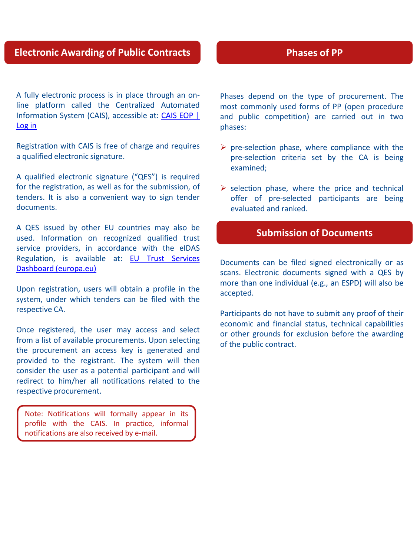#### **Electronic Awarding of Public Contracts**

A fully electronic process is in place through an online platform called the Centralized Automated [Information](https://identity.eop.bg/Account/Login?ReturnUrl=%2Fconnect%2Fauthorize%2Fcallback%3Fclient_id%3DNX1SPA%26redirect_uri%3Dhttps%253A%252F%252Fapp.eop.bg%252Flogon%26response_type%3Dcode%26scope%3Dopenid%2520profile%2520email%2520read%2520write%2520negometrix_user%2520NX1IdentityServerApi%26state%3Dfb7f5f9106ec4e6885e4fc3b87e1b637%26code_challenge%3D1ZrT761A3FA2Eq5mUs9tmfQR-k5iA2P3CD0M7iAp41k%26code_challenge_method%3DS256%26response_mode%3Dquery) System (CAIS), accessible at: CAIS EOP | Log in

Registration with CAIS is free of charge and requires a qualified electronic signature.

A qualified electronic signature ("QES") is required for the registration, as well as for the submission, of tenders. It is also a convenient way to sign tender documents.

A QES issued by other EU countries may also be used. Information on recognized qualified trust service providers, in accordance with the eIDAS Regulation, is available at: EU Trust Services Dashboard [\(europa.eu\)](https://esignature.ec.europa.eu/efda/tl-browser/#/screen/home)

Upon registration, users will obtain a profile in the system, under which tenders can be filed with the respective CA.

Once registered, the user may access and select from a list of available procurements. Upon selecting the procurement an access key is generated and provided to the registrant. The system will then consider the user as a potential participant and will redirect to him/her all notifications related to the respective procurement.

Note: Notifications will formally appear in its profile with the CAIS. In practice, informal notifications are also received by e-mail.

#### **Phases of PP**

Phases depend on the type of procurement. The most commonly used forms of PP (open procedure and public competition) are carried out in two phases:

- $\triangleright$  pre-selection phase, where compliance with the pre-selection criteria set by the CA is being examined;
- $\triangleright$  selection phase, where the price and technical offer of pre-selected participants are being evaluated and ranked.

#### **Submission of Documents**

Documents can be filed signed electronically or as scans. Electronic documents signed with a QES by more than one individual (e.g., an ESPD) will also be accepted.

Participants do not have to submit any proof of their economic and financial status, technical capabilities or other grounds for exclusion before the awarding of the public contract.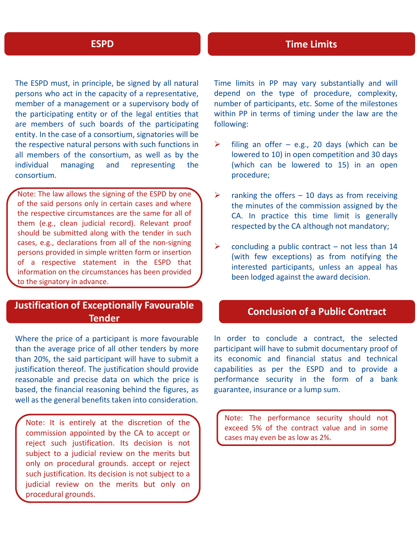#### **ESPD**

The ESPD must, in principle, be signed by all natural persons who act in the capacity of a representative, member of a management or a supervisory body of the participating entity or of the legal entities that are members of such boards of the participating entity. In the case of a consortium, signatories will be the respective natural persons with such functions in all members of the consortium, as well as by the individual managing and representing the consortium.

Note: The law allows the signing of the ESPD by one of the said persons only in certain cases and where the respective circumstances are the same for all of them (e.g., clean judicial record). Relevant proof should be submitted along with the tender in such cases, e.g., declarations from all of the non-signing persons provided in simple written form or insertion of a respective statement in the ESPD that information on the circumstances has been provided to the signatory in advance.

#### **Justification of Exceptionally Favourable Tender**

Where the price of a participant is more favourable than the average price of all other tenders by more than 20%, the said participant will have to submit a justification thereof. The justification should provide reasonable and precise data on which the price is based, the financial reasoning behind the figures, as well as the general benefits taken into consideration.

Note: It is entirely at the discretion of the commission appointed by the CA to accept or reject such justification. Its decision is not subject to a judicial review on the merits but only on procedural grounds. accept or reject such justification. Its decision is not subject to a judicial review on the merits but only on procedural grounds.

Time limits in PP may vary substantially and will depend on the type of procedure, complexity, number of participants, etc. Some of the milestones within PP in terms of timing under the law are the following:

- $\triangleright$  filing an offer e.g., 20 days (which can be lowered to 10) in open competition and 30 days (which can be lowered to 15) in an open procedure;
- $\triangleright$  ranking the offers 10 days as from receiving the minutes of the commission assigned by the CA. In practice this time limit is generally respected by the CA although not mandatory;
- $\triangleright$  concluding a public contract not less than 14 (with few exceptions) as from notifying the interested participants, unless an appeal has been lodged against the award decision.

#### **Conclusion of a Public Contract**

In order to conclude a contract, the selected participant will have to submit documentary proof of its economic and financial status and technical capabilities as per the ESPD and to provide a performance security in the form of a bank guarantee, insurance or a lump sum.

Note: The performance security should not exceed 5% of the contract value and in some cases may even be as low as 2%.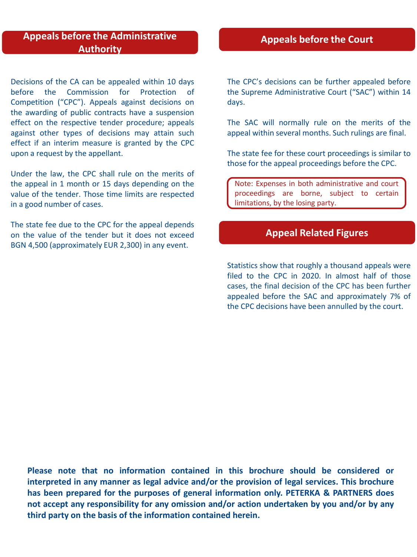#### **Appeals before the Administrative Authority**

Decisions of the CA can be appealed within 10 days before the Commission for Protection of Competition ("CPC"). Appeals against decisions on the awarding of public contracts have a suspension effect on the respective tender procedure; appeals against other types of decisions may attain such effect if an interim measure is granted by the CPC upon a request by the appellant.

Under the law, the CPC shall rule on the merits of the appeal in 1 month or 15 days depending on the value of the tender. Those time limits are respected in a good number of cases.

The state fee due to the CPC for the appeal depends on the value of the tender but it does not exceed BGN 4,500 (approximately EUR 2,300) in any event.

#### **Appeals before the Court**

The CPC's decisions can be further appealed before the Supreme Administrative Court ("SAC") within 14 days.

The SAC will normally rule on the merits of the appeal within several months. Such rulings are final.

The state fee for these court proceedings is similar to those for the appeal proceedings before the CPC.

Note: Expenses in both administrative and court proceedings are borne, subject to certain limitations, by the losing party.

#### **Appeal Related Figures**

Statistics show that roughly a thousand appeals were filed to the CPC in 2020. In almost half of those cases, the final decision of the CPC has been further appealed before the SAC and approximately 7% of the CPC decisions have been annulled by the court.

**Please note that no information contained in this brochure should be considered or interpreted in any manner as legal advice and/or the provision of legal services. This brochure has been prepared for the purposes of general information only. PETERKA & PARTNERS does not accept any responsibility for any omission and/or action undertaken by you and/or by any third party on the basis of the information contained herein.**